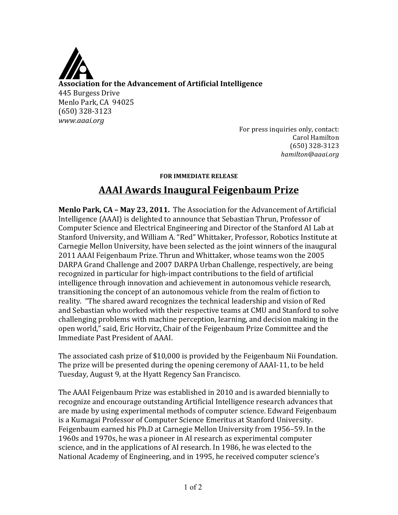

For press inquiries only, contact: Carol Hamilton (650) 328-3123 !!!!*hamilton@aaai.org*

## **FOR IMMEDIATE RELEASE**

## **AAAI)Awards)Inaugural)Feigenbaum)Prize**

**Menlo Park, CA - May 23, 2011.** The Association for the Advancement of Artificial Intelligence (AAAI) is delighted to announce that Sebastian Thrun, Professor of Computer Science and Electrical Engineering and Director of the Stanford AI Lab at Stanford University, and William A. "Red" Whittaker, Professor, Robotics Institute at Carnegie Mellon University, have been selected as the joint winners of the inaugural 2011 AAAI Feigenbaum Prize. Thrun and Whittaker, whose teams won the 2005 DARPA Grand Challenge and 2007 DARPA Urban Challenge, respectively, are being recognized in particular for high-impact contributions to the field of artificial intelligence through innovation and achievement in autonomous vehicle research, transitioning the concept of an autonomous vehicle from the realm of fiction to reality. "The shared award recognizes the technical leadership and vision of Red and Sebastian who worked with their respective teams at CMU and Stanford to solve challenging problems with machine perception, learning, and decision making in the open world," said, Eric Horvitz, Chair of the Feigenbaum Prize Committee and the Immediate Past President of AAAI.

The associated cash prize of \$10,000 is provided by the Feigenbaum Nii Foundation. The prize will be presented during the opening ceremony of AAAI-11, to be held Tuesday, August 9, at the Hyatt Regency San Francisco.

The AAAI Feigenbaum Prize was established in 2010 and is awarded biennially to recognize and encourage outstanding Artificial Intelligence research advances that are made by using experimental methods of computer science. Edward Feigenbaum is a Kumagai Professor of Computer Science Emeritus at Stanford University. Feigenbaum earned his Ph.D at Carnegie Mellon University from 1956–59. In the 1960s and 1970s, he was a pioneer in AI research as experimental computer science, and in the applications of AI research. In 1986, he was elected to the National Academy of Engineering, and in 1995, he received computer science's